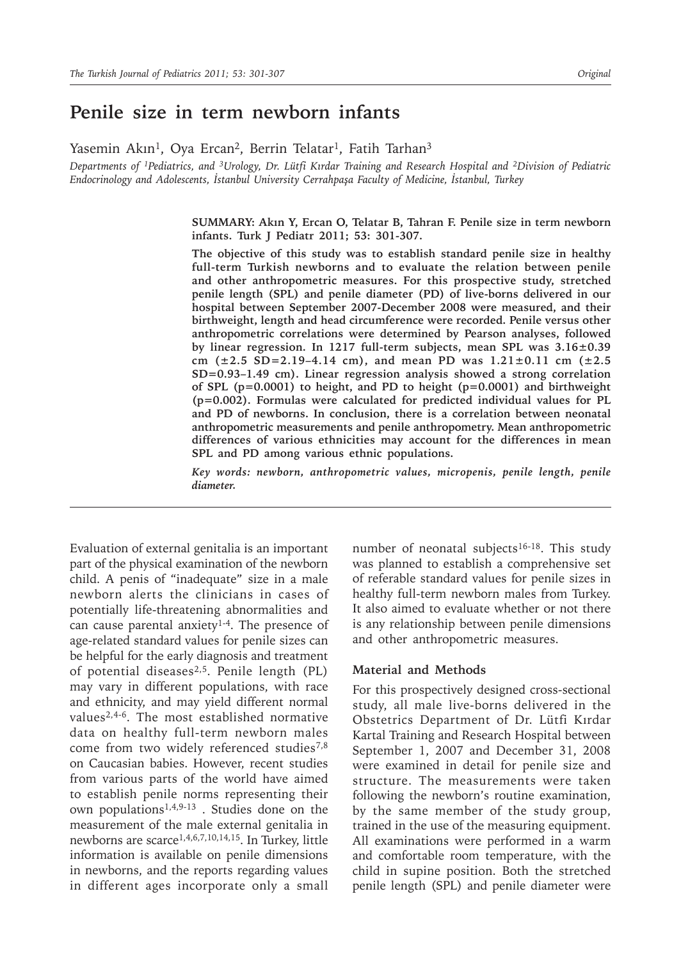# **Penile size in term newborn infants**

Yasemin Akın<sup>1</sup>, Oya Ercan<sup>2</sup>, Berrin Telatar<sup>1</sup>, Fatih Tarhan<sup>3</sup>

*Departments of 1Pediatrics, and 3Urology, Dr. Lütfi Kırdar Training and Research Hospital and 2Division of Pediatric Endocrinology and Adolescents, İstanbul University Cerrahpaşa Faculty of Medicine, İstanbul, Turkey* 

> **SUMMARY: Akın Y, Ercan O, Telatar B, Tahran F. Penile size in term newborn infants. Turk J Pediatr 2011; 53: 301-307.**

> **The objective of this study was to establish standard penile size in healthy full-term Turkish newborns and to evaluate the relation between penile and other anthropometric measures. For this prospective study, stretched penile length (SPL) and penile diameter (PD) of live-borns delivered in our hospital between September 2007-December 2008 were measured, and their birthweight, length and head circumference were recorded. Penile versus other anthropometric correlations were determined by Pearson analyses, followed by linear regression. In 1217 full-term subjects, mean SPL was 3.16±0.39 cm (±2.5 SD=2.19–4.14 cm), and mean PD was 1.21±0.11 cm (±2.5 SD=0.93–1.49 cm). Linear regression analysis showed a strong correlation of SPL (p=0.0001) to height, and PD to height (p=0.0001) and birthweight (p=0.002). Formulas were calculated for predicted individual values for PL and PD of newborns. In conclusion, there is a correlation between neonatal anthropometric measurements and penile anthropometry. Mean anthropometric differences of various ethnicities may account for the differences in mean SPL and PD among various ethnic populations.**

> *Key words: newborn, anthropometric values, micropenis, penile length, penile diameter.*

Evaluation of external genitalia is an important part of the physical examination of the newborn child. A penis of "inadequate" size in a male newborn alerts the clinicians in cases of potentially life-threatening abnormalities and can cause parental anxiety $1-4$ . The presence of age-related standard values for penile sizes can be helpful for the early diagnosis and treatment of potential diseases2,5. Penile length (PL) may vary in different populations, with race and ethnicity, and may yield different normal values2,4-6. The most established normative data on healthy full-term newborn males come from two widely referenced studies $7,8$ on Caucasian babies. However, recent studies from various parts of the world have aimed to establish penile norms representing their own populations1,4,9-13 . Studies done on the measurement of the male external genitalia in newborns are scarce1,4,6,7,10,14,15. In Turkey, little information is available on penile dimensions in newborns, and the reports regarding values in different ages incorporate only a small

number of neonatal subjects<sup>16-18</sup>. This study was planned to establish a comprehensive set of referable standard values for penile sizes in healthy full-term newborn males from Turkey. It also aimed to evaluate whether or not there is any relationship between penile dimensions and other anthropometric measures.

#### **Material and Methods**

For this prospectively designed cross-sectional study, all male live-borns delivered in the Obstetrics Department of Dr. Lütfi Kırdar Kartal Training and Research Hospital between September 1, 2007 and December 31, 2008 were examined in detail for penile size and structure. The measurements were taken following the newborn's routine examination, by the same member of the study group, trained in the use of the measuring equipment. All examinations were performed in a warm and comfortable room temperature, with the child in supine position. Both the stretched penile length (SPL) and penile diameter were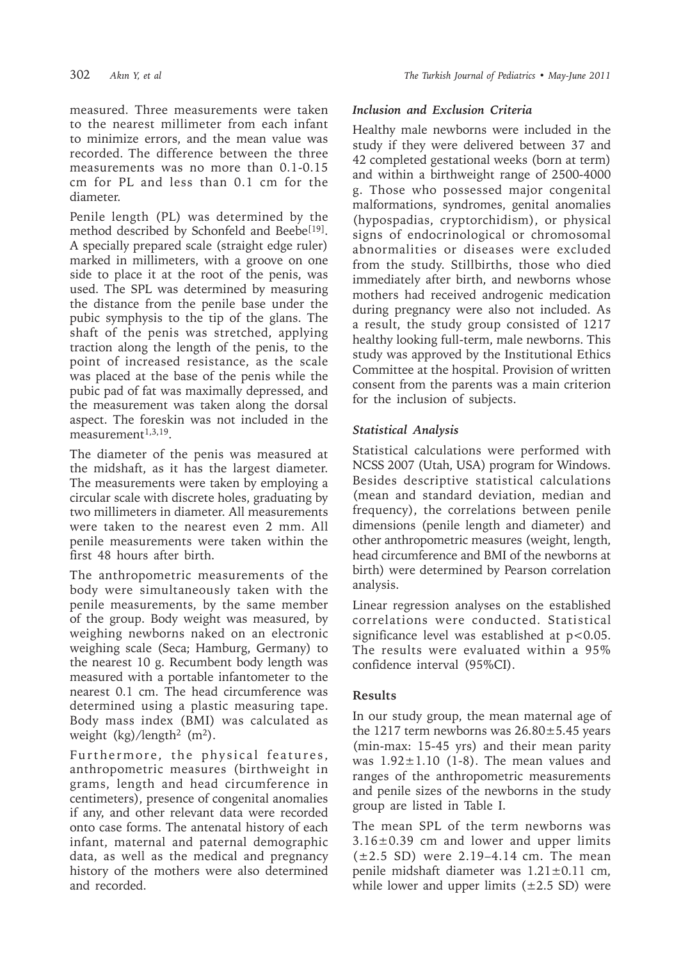measured. Three measurements were taken to the nearest millimeter from each infant to minimize errors, and the mean value was recorded. The difference between the three measurements was no more than 0.1-0.15 cm for PL and less than 0.1 cm for the diameter.

Penile length (PL) was determined by the method described by Schonfeld and Beebe<sup>[19]</sup>. A specially prepared scale (straight edge ruler) marked in millimeters, with a groove on one side to place it at the root of the penis, was used. The SPL was determined by measuring the distance from the penile base under the pubic symphysis to the tip of the glans. The shaft of the penis was stretched, applying traction along the length of the penis, to the point of increased resistance, as the scale was placed at the base of the penis while the pubic pad of fat was maximally depressed, and the measurement was taken along the dorsal aspect. The foreskin was not included in the measurement<sup>1,3,19</sup>.

The diameter of the penis was measured at the midshaft, as it has the largest diameter. The measurements were taken by employing a circular scale with discrete holes, graduating by two millimeters in diameter. All measurements were taken to the nearest even 2 mm. All penile measurements were taken within the first 48 hours after birth.

The anthropometric measurements of the body were simultaneously taken with the penile measurements, by the same member of the group. Body weight was measured, by weighing newborns naked on an electronic weighing scale (Seca; Hamburg, Germany) to the nearest 10 g. Recumbent body length was measured with a portable infantometer to the nearest 0.1 cm. The head circumference was determined using a plastic measuring tape. Body mass index (BMI) was calculated as weight  $(kg)/length<sup>2</sup>$  (m<sup>2</sup>).

Furthermore, the physical features, anthropometric measures (birthweight in grams, length and head circumference in centimeters), presence of congenital anomalies if any, and other relevant data were recorded onto case forms. The antenatal history of each infant, maternal and paternal demographic data, as well as the medical and pregnancy history of the mothers were also determined and recorded.

### *Inclusion and Exclusion Criteria*

Healthy male newborns were included in the study if they were delivered between 37 and 42 completed gestational weeks (born at term) and within a birthweight range of 2500-4000 g. Those who possessed major congenital malformations, syndromes, genital anomalies (hypospadias, cryptorchidism), or physical signs of endocrinological or chromosomal abnormalities or diseases were excluded from the study. Stillbirths, those who died immediately after birth, and newborns whose mothers had received androgenic medication during pregnancy were also not included. As a result, the study group consisted of 1217 healthy looking full-term, male newborns. This study was approved by the Institutional Ethics Committee at the hospital. Provision of written consent from the parents was a main criterion for the inclusion of subjects.

## *Statistical Analysis*

Statistical calculations were performed with NCSS 2007 (Utah, USA) program for Windows. Besides descriptive statistical calculations (mean and standard deviation, median and frequency), the correlations between penile dimensions (penile length and diameter) and other anthropometric measures (weight, length, head circumference and BMI of the newborns at birth) were determined by Pearson correlation analysis.

Linear regression analyses on the established correlations were conducted. Statistical significance level was established at p<0.05. The results were evaluated within a 95% confidence interval (95%CI).

## **Results**

In our study group, the mean maternal age of the 1217 term newborns was  $26.80 \pm 5.45$  years (min-max: 15-45 yrs) and their mean parity was  $1.92 \pm 1.10$  (1-8). The mean values and ranges of the anthropometric measurements and penile sizes of the newborns in the study group are listed in Table I.

The mean SPL of the term newborns was 3.16±0.39 cm and lower and upper limits  $(\pm 2.5 \, \text{SD})$  were 2.19-4.14 cm. The mean penile midshaft diameter was 1.21±0.11 cm, while lower and upper limits  $(\pm 2.5 \text{ SD})$  were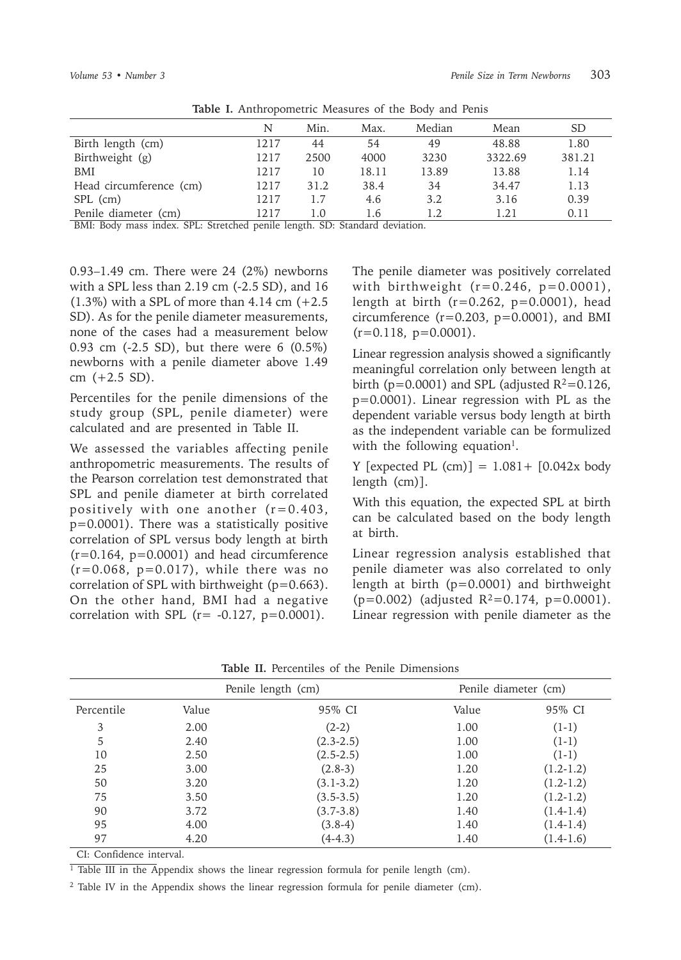|                                                                        | N     | Min. | Max.  | Median | Mean    | <b>SD</b> |  |  |
|------------------------------------------------------------------------|-------|------|-------|--------|---------|-----------|--|--|
| Birth length (cm)                                                      | 1217  | 44   | 54    | 49     | 48.88   | 1.80      |  |  |
| Birthweight (g)                                                        | 1217  | 2500 | 4000  | 3230   | 3322.69 | 381.21    |  |  |
| BMI                                                                    | 1217  | 10   | 18.11 | 13.89  | 13.88   | 1.14      |  |  |
| Head circumference (cm)                                                | 1217  | 31.2 | 38.4  | 34     | 34.47   | 1.13      |  |  |
| SPL (cm)                                                               | 1217  | 1.7  | 4.6   | 3.2    | 3.16    | 0.39      |  |  |
| Penile diameter (cm)                                                   | 12.17 | 1.0  | 1.6   | 1.2    | 1.21    | 0.11      |  |  |
| DML Dody mass index CDL Ctratched penils length CD. Ctenderd deviation |       |      |       |        |         |           |  |  |

**Table I.** Anthropometric Measures of the Body and Penis

BMI: Body mass index. SPL: Stretched penile length. SD: Standard deviation.

0.93–1.49 cm. There were 24 (2%) newborns with a SPL less than 2.19 cm (-2.5 SD), and 16  $(1.3\%)$  with a SPL of more than 4.14 cm  $(+2.5\%)$ SD). As for the penile diameter measurements, none of the cases had a measurement below 0.93 cm (-2.5 SD), but there were 6 (0.5%) newborns with a penile diameter above 1.49 cm (+2.5 SD).

Percentiles for the penile dimensions of the study group (SPL, penile diameter) were calculated and are presented in Table II.

We assessed the variables affecting penile anthropometric measurements. The results of the Pearson correlation test demonstrated that SPL and penile diameter at birth correlated positively with one another  $(r=0.403)$ , p=0.0001). There was a statistically positive correlation of SPL versus body length at birth  $(r=0.164, p=0.0001)$  and head circumference  $(r=0.068, p=0.017)$ , while there was no correlation of SPL with birthweight  $(p=0.663)$ . On the other hand, BMI had a negative correlation with SPL  $(r = -0.127, p=0.0001)$ .

The penile diameter was positively correlated with birthweight  $(r=0.246, p=0.0001)$ , length at birth  $(r=0.262, p=0.0001)$ , head circumference  $(r=0.203, p=0.0001)$ , and BMI  $(r=0.118, p=0.0001)$ .

Linear regression analysis showed a significantly meaningful correlation only between length at birth (p=0.0001) and SPL (adjusted  $R^2$ =0.126, p=0.0001). Linear regression with PL as the dependent variable versus body length at birth as the independent variable can be formulized with the following equation<sup>1</sup>.

Y [expected PL (cm)] =  $1.081 +$  [0.042x body length (cm)].

With this equation, the expected SPL at birth can be calculated based on the body length at birth.

Linear regression analysis established that penile diameter was also correlated to only length at birth  $(p=0.0001)$  and birthweight ( $p=0.002$ ) (adjusted R<sup>2</sup>=0.174,  $p=0.0001$ ). Linear regression with penile diameter as the

|            |       | Penile length (cm) | Penile diameter (cm) |             |  |
|------------|-------|--------------------|----------------------|-------------|--|
| Percentile | Value | 95% CI             | Value                | 95% CI      |  |
| 3          | 2.00  | $(2-2)$            | 1.00                 | $(1-1)$     |  |
| 5          | 2.40  | $(2.3 - 2.5)$      | 1.00                 | $(1-1)$     |  |
| 10         | 2.50  | $(2.5 - 2.5)$      | 1.00                 | $(1-1)$     |  |
| 25         | 3.00  | $(2.8-3)$          | 1.20                 | $(1.2-1.2)$ |  |
| 50         | 3.20  | $(3.1 - 3.2)$      | 1.20                 | $(1.2-1.2)$ |  |
| 75         | 3.50  | $(3.5-3.5)$        | 1.20                 | $(1.2-1.2)$ |  |
| 90         | 3.72  | $(3.7 - 3.8)$      | 1.40                 | $(1.4-1.4)$ |  |
| 95         | 4.00  | $(3.8-4)$          | 1.40                 | $(1.4-1.4)$ |  |
| 97         | 4.20  | $(4-4.3)$          | 1.40                 | $(1.4-1.6)$ |  |

| Table II. Percentiles of the Penile Dimensions |
|------------------------------------------------|
|------------------------------------------------|

CI: Confidence interval.

<sup>1</sup> Table III in the Appendix shows the linear regression formula for penile length (cm).

2 Table IV in the Appendix shows the linear regression formula for penile diameter (cm).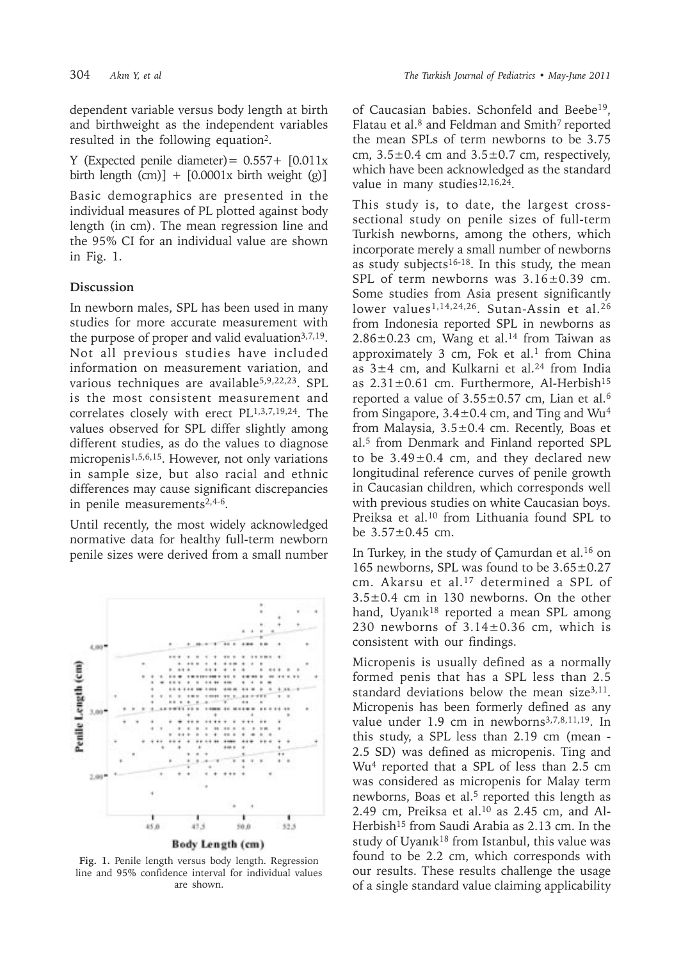dependent variable versus body length at birth and birthweight as the independent variables resulted in the following equation<sup>2</sup>.

Y (Expected penile diameter) =  $0.557 + [0.011x]$ birth length  $(cm)] + [0.0001x$  birth weight  $(g)]$ Basic demographics are presented in the individual measures of PL plotted against body length (in cm). The mean regression line and

the 95% CI for an individual value are shown

### **Discussion**

in Fig. 1.

In newborn males, SPL has been used in many studies for more accurate measurement with the purpose of proper and valid evaluation $3,7,19$ . Not all previous studies have included information on measurement variation, and various techniques are available5,9,22,23. SPL is the most consistent measurement and correlates closely with erect PL1,3,7,19,24. The values observed for SPL differ slightly among different studies, as do the values to diagnose micropenis<sup>1,5,6,15</sup>. However, not only variations in sample size, but also racial and ethnic differences may cause significant discrepancies in penile measurements $2,4-6$ .

Until recently, the most widely acknowledged normative data for healthy full-term newborn penile sizes were derived from a small number



**Fig. 1.** Penile length versus body length. Regression line and 95% confidence interval for individual values are shown.

of Caucasian babies. Schonfeld and Beebe19, Flatau et al.<sup>8</sup> and Feldman and Smith<sup>7</sup> reported the mean SPLs of term newborns to be 3.75 cm,  $3.5\pm0.4$  cm and  $3.5\pm0.7$  cm, respectively, which have been acknowledged as the standard value in many studies<sup>12,16,24</sup>.

This study is, to date, the largest crosssectional study on penile sizes of full-term Turkish newborns, among the others, which incorporate merely a small number of newborns as study subjects<sup>16-18</sup>. In this study, the mean SPL of term newborns was 3.16±0.39 cm. Some studies from Asia present significantly lower values<sup>1,14,24,26</sup>. Sutan-Assin et al.<sup>26</sup> from Indonesia reported SPL in newborns as  $2.86\pm0.23$  cm, Wang et al.<sup>14</sup> from Taiwan as approximately  $3$  cm, Fok et al.<sup>1</sup> from China as  $3\pm4$  cm, and Kulkarni et al.<sup>24</sup> from India as  $2.31 \pm 0.61$  cm. Furthermore, Al-Herbish<sup>15</sup> reported a value of  $3.55\pm0.57$  cm, Lian et al.<sup>6</sup> from Singapore,  $3.4 \pm 0.4$  cm, and Ting and Wu<sup>4</sup> from Malaysia, 3.5±0.4 cm. Recently, Boas et al.5 from Denmark and Finland reported SPL to be  $3.49\pm0.4$  cm, and they declared new longitudinal reference curves of penile growth in Caucasian children, which corresponds well with previous studies on white Caucasian boys. Preiksa et al.<sup>10</sup> from Lithuania found SPL to be  $3.57 \pm 0.45$  cm.

In Turkey, in the study of Çamurdan et al.16 on 165 newborns, SPL was found to be 3.65±0.27 cm. Akarsu et al.17 determined a SPL of 3.5±0.4 cm in 130 newborns. On the other hand, Uyanık<sup>18</sup> reported a mean SPL among 230 newborns of  $3.14 \pm 0.36$  cm, which is consistent with our findings.

Micropenis is usually defined as a normally formed penis that has a SPL less than 2.5 standard deviations below the mean size $3,11$ . Micropenis has been formerly defined as any value under 1.9 cm in newborns<sup>3,7,8,11,19</sup>. In this study, a SPL less than 2.19 cm (mean - 2.5 SD) was defined as micropenis. Ting and Wu4 reported that a SPL of less than 2.5 cm was considered as micropenis for Malay term newborns, Boas et al.<sup>5</sup> reported this length as 2.49 cm, Preiksa et al.<sup>10</sup> as 2.45 cm, and Al-Herbish15 from Saudi Arabia as 2.13 cm. In the study of Uyanı $k^{18}$  from Istanbul, this value was found to be 2.2 cm, which corresponds with our results. These results challenge the usage of a single standard value claiming applicability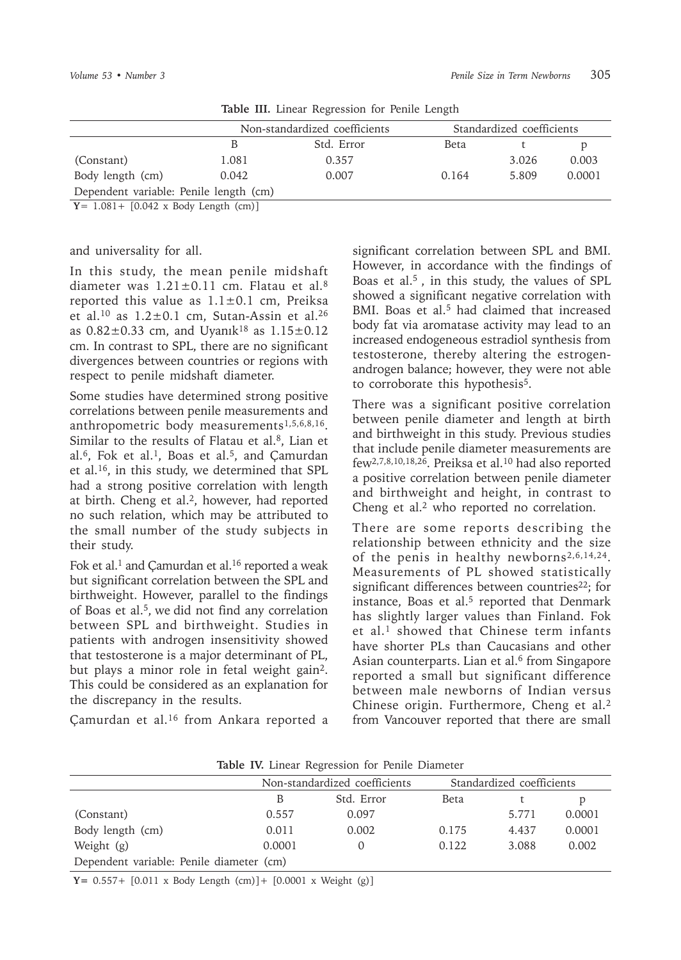| ------ ----- ------- --- <sub>/1</sub> -------- --- - ------- ----- <sub>7</sub> ---                                                                                                                                                                                                                                               |       |                               |       |                           |        |  |  |
|------------------------------------------------------------------------------------------------------------------------------------------------------------------------------------------------------------------------------------------------------------------------------------------------------------------------------------|-------|-------------------------------|-------|---------------------------|--------|--|--|
|                                                                                                                                                                                                                                                                                                                                    |       | Non-standardized coefficients |       | Standardized coefficients |        |  |  |
|                                                                                                                                                                                                                                                                                                                                    |       | Std. Error                    | Beta  |                           |        |  |  |
| (Constant)                                                                                                                                                                                                                                                                                                                         | 1.081 | 0.357                         |       | 3.026                     | 0.003  |  |  |
| Body length (cm)                                                                                                                                                                                                                                                                                                                   | 0.042 | 0.007                         | 0.164 | 5.809                     | 0.0001 |  |  |
| Dependent variable: Penile length (cm)                                                                                                                                                                                                                                                                                             |       |                               |       |                           |        |  |  |
| $\mathbf{X}$ $\mathbf{Y}$ $\mathbf{Y}$ $\mathbf{Y}$ $\mathbf{Y}$ $\mathbf{Y}$ $\mathbf{Y}$ $\mathbf{Y}$ $\mathbf{Y}$ $\mathbf{Y}$ $\mathbf{Y}$ $\mathbf{Y}$ $\mathbf{Y}$ $\mathbf{Y}$ $\mathbf{Y}$ $\mathbf{Y}$ $\mathbf{Y}$ $\mathbf{Y}$ $\mathbf{Y}$ $\mathbf{Y}$ $\mathbf{Y}$ $\mathbf{Y}$ $\mathbf{Y}$ $\mathbf{Y}$ $\mathbf{$ |       |                               |       |                           |        |  |  |

**Table III.** Linear Regression for Penile Length

**Y**= 1.081+ [0.042 x Body Length (cm)]

and universality for all.

In this study, the mean penile midshaft diameter was  $1.21 \pm 0.11$  cm. Flatau et al.<sup>8</sup> reported this value as  $1.1 \pm 0.1$  cm. Preiksa et al.<sup>10</sup> as  $1.2\pm0.1$  cm, Sutan-Assin et al.<sup>26</sup> as  $0.82 \pm 0.33$  cm, and Uyanık<sup>18</sup> as  $1.15 \pm 0.12$ cm. In contrast to SPL, there are no significant divergences between countries or regions with respect to penile midshaft diameter.

Some studies have determined strong positive correlations between penile measurements and anthropometric body measurements<sup>1,5,6,8,16</sup>. Similar to the results of Flatau et al.<sup>8</sup>, Lian et al. $6$ , Fok et al.<sup>1</sup>, Boas et al.<sup>5</sup>, and Çamurdan et al.16, in this study, we determined that SPL had a strong positive correlation with length at birth. Cheng et al.<sup>2</sup>, however, had reported no such relation, which may be attributed to the small number of the study subjects in their study.

Fok et al.<sup>1</sup> and Camurdan et al.<sup>16</sup> reported a weak but significant correlation between the SPL and birthweight. However, parallel to the findings of Boas et al.5, we did not find any correlation between SPL and birthweight. Studies in patients with androgen insensitivity showed that testosterone is a major determinant of PL, but plays a minor role in fetal weight gain2. This could be considered as an explanation for the discrepancy in the results.

Çamurdan et al.16 from Ankara reported a

significant correlation between SPL and BMI. However, in accordance with the findings of Boas et al.5 , in this study, the values of SPL showed a significant negative correlation with BMI. Boas et al.<sup>5</sup> had claimed that increased body fat via aromatase activity may lead to an increased endogeneous estradiol synthesis from testosterone, thereby altering the estrogenandrogen balance; however, they were not able to corroborate this hypothesis<sup>5</sup>.

There was a significant positive correlation between penile diameter and length at birth and birthweight in this study. Previous studies that include penile diameter measurements are few2,7,8,10,18,26. Preiksa et al.10 had also reported a positive correlation between penile diameter and birthweight and height, in contrast to Cheng et al.<sup>2</sup> who reported no correlation.

There are some reports describing the relationship between ethnicity and the size of the penis in healthy newborns<sup>2,6,14,24</sup>. Measurements of PL showed statistically significant differences between countries<sup>22</sup>; for instance, Boas et al.<sup>5</sup> reported that Denmark has slightly larger values than Finland. Fok et al.<sup>1</sup> showed that Chinese term infants have shorter PLs than Caucasians and other Asian counterparts. Lian et al.<sup>6</sup> from Singapore reported a small but significant difference between male newborns of Indian versus Chinese origin. Furthermore, Cheng et al.2 from Vancouver reported that there are small

| <b>ROIC</b> IV. Effical Regression for Femic Diameter |        |                               |       |                           |        |  |
|-------------------------------------------------------|--------|-------------------------------|-------|---------------------------|--------|--|
|                                                       |        | Non-standardized coefficients |       | Standardized coefficients |        |  |
|                                                       | В      | Std. Error                    | Beta  |                           |        |  |
| (Constant)                                            | 0.557  | 0.097                         |       | 5.771                     | 0.0001 |  |
| Body length (cm)                                      | 0.011  | 0.002                         | 0.175 | 4.437                     | 0.0001 |  |
| Weight (g)                                            | 0.0001 |                               | 0.122 | 3.088                     | 0.002  |  |
| Dependent variable: Penile diameter (cm)              |        |                               |       |                           |        |  |

**Table IV.** Linear Regression for Penile Diameter

**Y=** 0.557+ [0.011 x Body Length (cm)]+ [0.0001 x Weight (g)]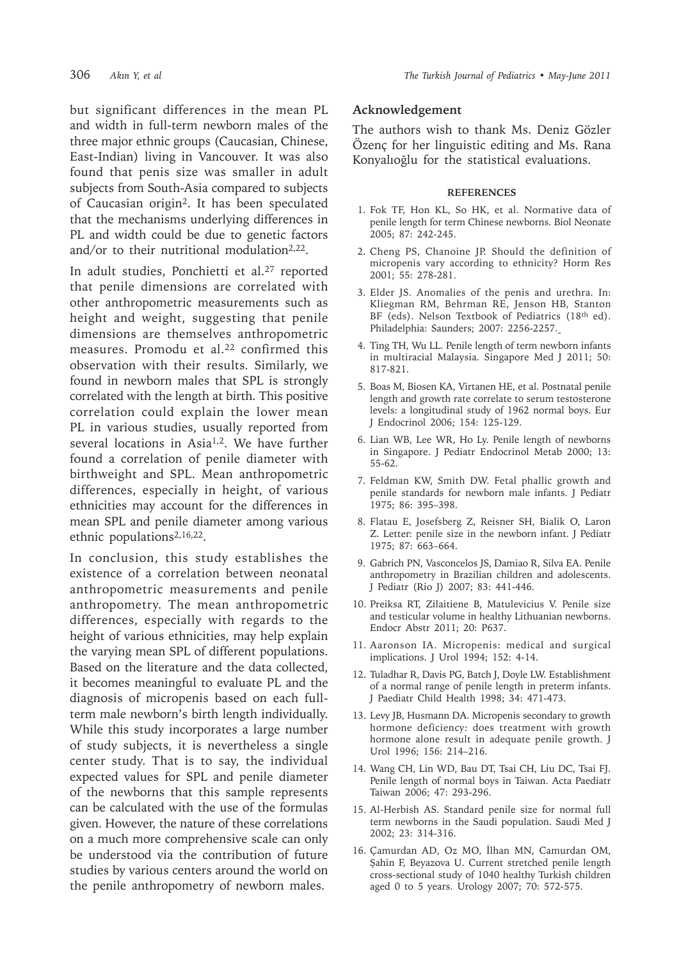but significant differences in the mean PL and width in full-term newborn males of the three major ethnic groups (Caucasian, Chinese, East-Indian) living in Vancouver. It was also found that penis size was smaller in adult subjects from South-Asia compared to subjects of Caucasian origin2. It has been speculated that the mechanisms underlying differences in PL and width could be due to genetic factors and/or to their nutritional modulation<sup>2,22</sup>.

In adult studies, Ponchietti et al.<sup>27</sup> reported that penile dimensions are correlated with other anthropometric measurements such as height and weight, suggesting that penile dimensions are themselves anthropometric measures. Promodu et al.<sup>22</sup> confirmed this observation with their results*.* Similarly, we found in newborn males that SPL is strongly correlated with the length at birth. This positive correlation could explain the lower mean PL in various studies, usually reported from several locations in Asia1,2. We have further found a correlation of penile diameter with birthweight and SPL. Mean anthropometric differences, especially in height, of various ethnicities may account for the differences in mean SPL and penile diameter among various ethnic populations2,16,22.

In conclusion, this study establishes the existence of a correlation between neonatal anthropometric measurements and penile anthropometry. The mean anthropometric differences, especially with regards to the height of various ethnicities, may help explain the varying mean SPL of different populations. Based on the literature and the data collected, it becomes meaningful to evaluate PL and the diagnosis of micropenis based on each fullterm male newborn's birth length individually. While this study incorporates a large number of study subjects, it is nevertheless a single center study. That is to say, the individual expected values for SPL and penile diameter of the newborns that this sample represents can be calculated with the use of the formulas given. However, the nature of these correlations on a much more comprehensive scale can only be understood via the contribution of future studies by various centers around the world on the penile anthropometry of newborn males.

#### **Acknowledgement**

The authors wish to thank Ms. Deniz Gözler Özenç for her linguistic editing and Ms. Rana Konyalıoğlu for the statistical evaluations.

#### **REFERENCES**

- 1. Fok TF, Hon KL, So HK, et al. Normative data of penile length for term Chinese newborns. Biol Neonate 2005; 87: 242-245.
- 2. Cheng PS, Chanoine JP. Should the definition of micropenis vary according to ethnicity? Horm Res 2001; 55: 278-281.
- 3. Elder JS. Anomalies of the penis and urethra. In: Kliegman RM, Behrman RE, Jenson HB, Stanton BF (eds). Nelson Textbook of Pediatrics (18<sup>th</sup> ed). Philadelphia: Saunders; 2007: 2256-2257.
- 4. Ting TH, Wu LL. Penile length of term newborn infants in multiracial Malaysia. Singapore Med J 2011; 50: 817-821.
- 5. Boas M, Biosen KA, Virtanen HE, et al. Postnatal penile length and growth rate correlate to serum testosterone levels: a longitudinal study of 1962 normal boys. Eur J Endocrinol 2006; 154: 125-129.
- 6. Lian WB, Lee WR, Ho Ly. Penile length of newborns in Singapore. J Pediatr Endocrinol Metab 2000; 13: 55-62.
- 7. Feldman KW, Smith DW. Fetal phallic growth and penile standards for newborn male infants. J Pediatr 1975; 86: 395–398.
- 8. Flatau E, Josefsberg Z, Reisner SH, Bialik O, Laron Z. Letter: penile size in the newborn infant. J Pediatr 1975; 87: 663–664.
- 9. Gabrich PN, Vasconcelos JS, Damiao R, Silva EA. Penile anthropometry in Brazilian children and adolescents. J Pediatr (Rio J) 2007; 83: 441-446.
- 10. Preiksa RT, Zilaitiene B, Matulevicius V. Penile size and testicular volume in healthy Lithuanian newborns. Endocr Abstr 2011; 20: P637.
- 11. Aaronson IA. Micropenis: medical and surgical implications. J Urol 1994; 152: 4-14.
- 12. Tuladhar R, Davis PG, Batch J, Doyle LW. Establishment of a normal range of penile length in preterm infants. J Paediatr Child Health 1998; 34: 471-473.
- 13. Levy JB, Husmann DA. Micropenis secondary to growth hormone deficiency: does treatment with growth hormone alone result in adequate penile growth. J Urol 1996; 156: 214–216.
- 14. Wang CH, Lin WD, Bau DT, Tsai CH, Liu DC, Tsai FJ. Penile length of normal boys in Taiwan. Acta Paediatr Taiwan 2006; 47: 293-296.
- 15. Al-Herbish AS. Standard penile size for normal full term newborns in the Saudi population. Saudi Med J 2002; 23: 314-316.
- 16. Çamurdan AD, Oz MO, İlhan MN, Camurdan OM, Şahin F, Beyazova U. Current stretched penile length cross-sectional study of 1040 healthy Turkish children aged 0 to 5 years. Urology 2007; 70: 572-575.